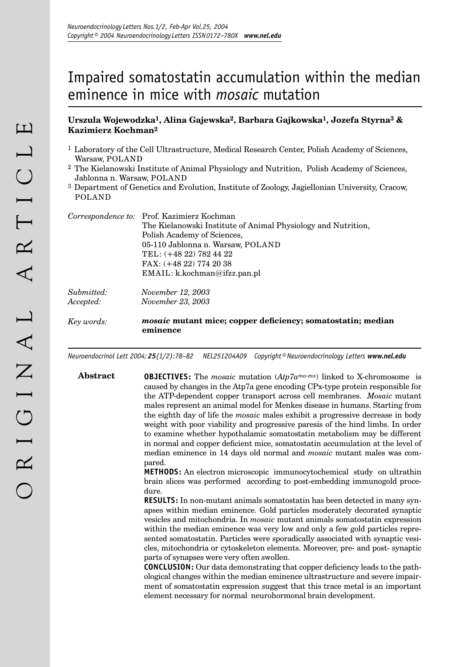# Impaired somatostatin accumulation within the median eminence in mice with *mosaic* mutation

## **Urszula Wojewodzka1, Alina Gajewska2, Barbara Gajkowska1, Jozefa Styrna3 & Kazimierz Kochman2**

- 1 Laboratory of the Cell Ultrastructure, Medical Research Center, Polish Academy of Sciences, Warsaw, POLAND
- 2 The Kielanowski Institute of Animal Physiology and Nutrition, Polish Academy of Sciences, Jablonna n. Warsaw, POLAND
- 3 Department of Genetics and Evolution, Institute of Zoology, Jagiellonian University, Cracow, POLAND

|            | Correspondence to: Prof. Kazimierz Kochman                                     |
|------------|--------------------------------------------------------------------------------|
|            | The Kielanowski Institute of Animal Physiology and Nutrition,                  |
|            | Polish Academy of Sciences,                                                    |
|            | 05-110 Jablonna n. Warsaw, POLAND                                              |
|            | TEL: (+48 22) 782 44 22                                                        |
|            | $FAX: (+48 22) 774 20 38$                                                      |
|            | EMAIL: k.kochman@ifzz.pan.pl                                                   |
| Submitted: | <i>November 12, 2003</i>                                                       |
| Accepted:  | <i>November 23, 2003</i>                                                       |
| Key words: | <i>mosaic</i> mutant mice; copper deficiency; somatostatin; median<br>eminence |

*Neuroendocrinol Lett 2004; 25(1/2):78–82 NEL251204A09 Copyright © Neuroendocrinology Letters www.nel.edu*

**Abstract OBJECTIVES:** The *mosaic* mutation (*Atp7amo-ms*) linked to X-chromosome is caused by changes in the Atp7a gene encoding CPx-type protein responsible for the ATP-dependent copper transport across cell membranes. *Mosaic* mutant males represent an animal model for Menkes disease in humans. Starting from the eighth day of life the *mosaic* males exhibit a progressive decrease in body weight with poor viability and progressive paresis of the hind limbs. In order to examine whether hypothalamic somatostatin metabolism may be different in normal and copper deficient mice, somatostatin accumulation at the level of median eminence in 14 days old normal and *mosaic* mutant males was compared.

> **METHODS:** An electron microscopic immunocytochemical study on ultrathin brain slices was performed according to post-embedding immunogold procedure.

> **RESULTS:** In non-mutant animals somatostatin has been detected in many synapses within median eminence. Gold particles moderately decorated synaptic vesicles and mitochondria. In *mosaic* mutant animals somatostatin expression within the median eminence was very low and only a few gold particles represented somatostatin. Particles were sporadically associated with synaptic vesicles, mitochondria or cytoskeleton elements. Moreover, pre- and post- synaptic parts of synapses were very often swollen.

> **CONCLUSION:** Our data demonstrating that copper deficiency leads to the pathological changes within the median eminence ultrastructure and severe impairment of somatostatin expression suggest that this trace metal is an important element necessary for normal neurohormonal brain development.

78 *Neuroendocrinology Letters Nos.1/2 Feb-Apr Vol.25, 2004 Copyright © Neuroendocrinology Letters ISSN 0172–780X www.nel.edu* 79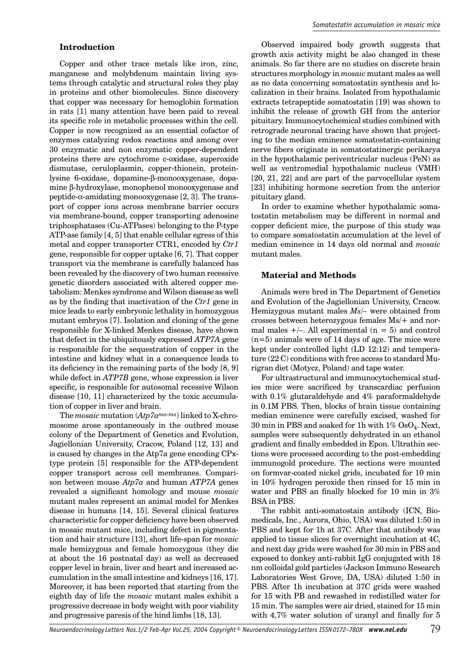## **Introduction**

Copper and other trace metals like iron, zinc, manganese and molybdenum maintain living systems through catalytic and structural roles they play in proteins and other biomolecules. Since discovery that copper was necessary for hemoglobin formation in rats [1] many attention have been paid to reveal its specific role in metabolic processes within the cell. Copper is now recognized as an essential cofactor of enzymes catalyzing redox reactions and among over 30 enzymatic and non enzymatic copper-dependent proteins there are cytochrome c-oxidase, superoxide dismutase, ceruloplasmin, copper-thionein, proteinlysine 6-oxidase, dopamine-β-monooxygenase, dopamine β-hydroxylase, monophenol monooxygenase and peptide- $\alpha$ -amidating monooxygenase [2, 3]. The transport of copper ions across membrane barrier occurs via membrane-bound, copper transporting adenosine triphosphatases (Cu-ATPases) belonging to the P-type ATP-ase family [4, 5] that enable cellular egress of this metal and copper transporter CTR1, encoded by *Ctr1*  gene, responsible for copper uptake [6, 7]. That copper transport via the membrane is carefully balanced has been revealed by the discovery of two human recessive genetic disorders associated with altered copper metabolism: Menkes syndrome and Wilson disease as well as by the finding that inactivation of the *Ctr1* gene in mice leads to early embryonic lethality in homozygous mutant embryos [7]. Isolation and cloning of the gene responsible for X-linked Menkes disease, have shown that defect in the ubiquitously expressed *ATP7A* gene is responsible for the sequestration of copper in the intestine and kidney what in a consequence leads to its deficiency in the remaining parts of the body [8, 9] while defect in *ATP7B* gene, whose expression is liver specific, is responsible for autosomal recessive Wilson disease [10, 11] characterized by the toxic accumulation of copper in liver and brain.

The *mosaic* mutation (*Atp7amo-ms*) linked to X-chromosome arose spontaneously in the outbred mouse colony of the Department of Genetics and Evolution, Jagiellonian University, Cracow, Poland [12, 13] and is caused by changes in the Atp7a gene encoding CPxtype protein [5] responsible for the ATP-dependent copper transport across cell membranes. Comparison between mouse *Atp7a* and human *ATP7A* genes revealed a significant homology and mouse *mosaic* mutant males represent an animal model for Menkes disease in humans [14, 15]. Several clinical features characteristic for copper deficiency have been observed in mosaic mutant mice, including defect in pigmentation and hair structure [13], short life-span for *mosaic* male hemizygous and female homozygous (they die at about the 16 postnatal day) as well as decreased copper level in brain, liver and heart and increased accumulation in the small intestine and kidneys [16, 17]. Moreover, it has been reported that starting from the eighth day of life the *mosaic* mutant males exhibit a progressive decrease in body weight with poor viability and progressive paresis of the hind limbs [18, 13].

Observed impaired body growth suggests that growth axis activity might be also changed in these animals. So far there are no studies on discrete brain structures morphology in *mosaic* mutant males as well as no data concerning somatostatin synthesis and localization in their brains. Isolated from hypothalamic extracts tetrapeptide somatostatin [19] was shown to inhibit the release of growth GH from the anterior pituitary. Immunocytochemical studies combined with retrograde neuronal tracing have shown that projecting to the median eminence somatostatin-containing nerve fibers originate in somatostatinergic perikarya in the hypothalamic periventricular nucleus (PeN) as well as ventromedial hypothalamic nucleus (VMH) [20, 21, 22] and are part of the parvocellular system [23] inhibiting hormone secretion from the anterior pituitary gland.

In order to examine whether hypothalamic somatostatin metabolism may be different in normal and copper deficient mice, the purpose of this study was to compare somatostatin accumulation at the level of median eminence in 14 days old normal and *mosaic* mutant males.

### **Material and Methods**

Animals were bred in The Department of Genetics and Evolution of the Jagiellonian University, Cracow. Hemizygous mutant males *Ms/–* were obtained from crosses between heterozygous females Ms/+ and normal males  $+/-$ . All experimental (n = 5) and control  $(n=5)$  animals were of 14 days of age. The mice were kept under controlled light (LD 12:12) and temperature (22 C) conditions with free access to standard Murigran diet (Motycz, Poland) and tape water.

For ultrastructural and immunocytochemical studies mice were sacrificed by transcardiac perfusion with 0.1% glutaraldehyde and 4% paraformaldehyde in 0.1M PBS. Then, blocks of brain tissue containing median eminence were carefully excised, washed for 30 min in PBS and soaked for 1h with 1% OsO4. Next, samples were subsequently dehydrated in an ethanol gradient and finally embedded in Epon. Ultrathin sections were processed according to the post-embedding immunogold procedure. The sections were mounted on formvar-coated nickel grids, incubated for 10 min in 10% hydrogen peroxide then rinsed for 15 min in water and PBS an finally blocked for 10 min in 3% BSA in PBS.

The rabbit anti-somatostain antibody (ICN, Biomedicals, Inc., Aurora, Ohio, USA) was diluted 1:50 in PBS and kept for 1h at 37C. After that antibody was applied to tissue slices for overnight incubation at 4C, and next day grids were washed for 30 min in PBS and exposed to donkey anti-rabbit IgG conjugated with 18 nm colloidal gold particles (Jackson Immuno Research Laboratories West Grove, DA, USA) diluted 1:50 in PBS. After 1h incubation at 37C grids were washed for 15 with PB and rewashed in redistilled water for 15 min. The samples were air dried, stained for 15 min with 4,7% water solution of uranyl and finally for 5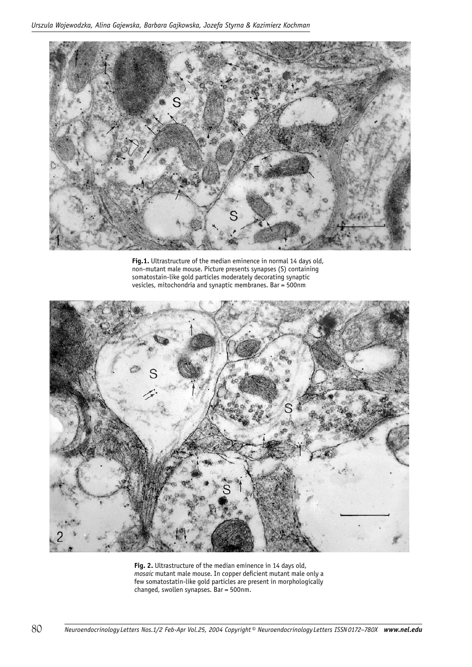

**Fig.1.** Ultrastructure of the median eminence in normal 14 days old, non-mutant male mouse. Picture presents synapses (S) containing somatostain-like gold particles moderately decorating synaptic vesicles, mitochondria and synaptic membranes. Bar = 500nm



**Fig. 2.** Ultrastructure of the median eminence in 14 days old, *mosaic* mutant male mouse. In copper deficient mutant male only a few somatostatin-like gold particles are present in morphologically changed, swollen synapses. Bar = 500nm.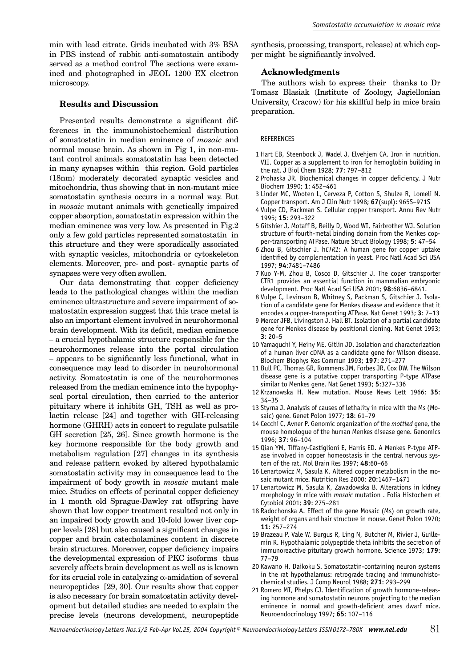min with lead citrate. Grids incubated with 3% BSA in PBS instead of rabbit anti-somatostain antibody served as a method control The sections were examined and photographed in JEOL 1200 EX electron microscopy.

### **Results and Discussion**

Presented results demonstrate a significant differences in the immunohistochemical distribution of somatostatin in median eminence of *mosaic* and normal mouse brain. As shown in Fig 1, in non-mutant control animals somatostatin has been detected in many synapses within this region. Gold particles (18nm) moderately decorated synaptic vesicles and mitochondria, thus showing that in non-mutant mice somatostatin synthesis occurs in a normal way. But in *mosaic* mutant animals with genetically impaired copper absorption, somatostatin expression within the median eminence was very low. As presented in Fig.2 only a few gold particles represented somatostatin in this structure and they were sporadically associated with synaptic vesicles, mitochondria or cytoskeleton elements. Moreover, pre- and post- synaptic parts of synapses were very often swollen.

Our data demonstrating that copper deficiency leads to the pathological changes within the median eminence ultrastructure and severe impairment of somatostatin expression suggest that this trace metal is also an important element involved in neurohormonal brain development. With its deficit, median eminence – a crucial hypothalamic structure responsible for the neurohormones release into the portal circulation – appears to be significantly less functional, what in consequence may lead to disorder in neurohormonal activity. Somatostatin is one of the neurohormones released from the median eminence into the hypophyseal portal circulation, then carried to the anterior pituitary where it inhibits GH, TSH as well as prolactin release [24] and together with GH-releasing hormone (GHRH) acts in concert to regulate pulsatile GH secretion [25, 26]. Since growth hormone is the key hormone responsible for the body growth and metabolism regulation [27] changes in its synthesis and release pattern evoked by altered hypothalamic somatostatin activity may in consequence lead to the impairment of body growth in *mosaic* mutant male mice*.* Studies on effects of perinatal copper deficiency in 1 month old Sprague-Dawley rat offspring have shown that low copper treatment resulted not only in an impaired body growth and 10-fold lower liver copper levels [28] but also caused a significant changes in copper and brain catecholamines content in discrete brain structures. Moreover, copper deficiency impairs the developmental expression of PKC isoforms thus severely affects brain development as well as is known for its crucial role in catalyzing  $\alpha$ -amidation of several neuropeptides [29, 30]. Our results show that copper is also necessary for brain somatostatin activity development but detailed studies are needed to explain the precise levels (neurons development, neuropeptide

synthesis, processing, transport, release) at which copper might be significantly involved.

#### **Acknowledgments**

The authors wish to express their thanks to Dr Tomasz Blasiak (Institute of Zoology, Jagiellonian University, Cracow) for his skillful help in mice brain preparation.

#### **REFERENCES**

- 1 Hart EB, Steenbock J, Wadel J, Elvehjem CA. Iron in nutrition. VII. Copper as a supplement to iron for hemoglobin building in the rat. J Biol Chem 1928; **77**: 797–812
- 2 Prohaska JR. Biochemical changes in copper deficiency. J Nutr Biochem 1990; **1**: 452–461
- 3 Linder MC, Wooten L, Cerveza P, Cotton S, Shulze R, Lomeli N. Copper transport. Am J Clin Nutr 1998; **67**(supl): 965S–971S
- 4 Vulpe CD, Packman S. Cellular copper transport. Annu Rev Nutr 1995; **15**: 293–322
- 5 Gitshier J, Motaff B, Reilly D, Wood WI, Fairbrother WJ. Solution structure of fourth-metal binding domain from the Menkes copper-transporting ATPase. Nature Struct Biology 1998; **5**: 47–54
- 6 Zhou B, Gitschier J. h*CTR1*: A human gene for copper uptake identified by complementation in yeast. Proc Natl Acad Sci USA 1997; **94**:7481–7486
- 7 Kuo Y-M, Zhou B, Cosco D, Gitschier J. The coper transporter CTR1 provides an essential function in mammalian embryonic development. Proc Natl Acad Sci USA 2001; **98**:6836–6841.
- 8 Vulpe C, Levinson B, Whitney S, Packman S, Gitschier J. Isolation of a candidate gene for Menkes disease and evidence that it encodes a copper-transporting ATPase. Nat Genet 1993; **3**: 7–13
- 9 Mercer JFB, Livingston J, Hall BT. Isolation of a partial candidate gene for Menkes disease by positional cloning. Nat Genet 1993; **3**: 20–5
- 10 Yamaguchi Y, Heiny ME, Gitlin JD. Isolation and characterization of a human liver cDNA as a candidate gene for Wilson disease. Biochem Biophys Res Commun 1993; **197**: 271–277
- 11 Bull PC, Thomas GR, Rommens JM, Forbes JR, Cox DW. The Wilson disease gene is a putative copper transporting P-type ATPase similar to Menkes gene. Nat Genet 1993; **5**:327–336
- 12 Krzanowska H. New mutation. Mouse News Lett 1966; **35**: 34–35
- 13 Styrna J. Analysis of causes of lethality in mice with the Ms (Mosaic) gene. Genet Polon 1977; **18**: 61–79
- 14 Cecchi C, Avner P. Genomic organization of the *mottled* gene, the mouse homologue of the human Menkes disease gene. Genomics 1996; **37**: 96–104
- 15 Qian YM, Tiffany-Castiglioni E, Harris ED. A Menkes P-type ATPase involved in copper homeostasis in the central nervous system of the rat. Mol Brain Res 1997; **48**:60–66
- 16 Lenartowicz M, Sasula K. Altered copper metabolism in the mosaic mutant mice. Nutrition Res 2000; **20**:1467–1471
- 17 Lenartowicz M, Sasula K, Zawadowska B. Alterations in kidney morphology in mice with *mosaic* mutation . Folia Histochem et Cytobiol 2001; **39**: 275–281
- 18 Radochonska A. Effect of the gene Mosaic (Ms) on growth rate, weight of organs and hair structure in mouse. Genet Polon 1970; **11**: 257–274
- 19 Brazeau P, Vale W, Burgus R, Ling N, Butcher M, Rivier J, Guillemin R. Hypothalamic polypeptide theta inhibits the secretion of immunoreactive pituitary growth hormone. Science 1973; **179**: 77–79
- 20 Kawano H, Daikoku S. Somatostatin-containing neuron systems in the rat hypothalamus: retrograde tracing and immunohistochemical studies. J Comp Neurol 1988; **271**: 293–299
- 21 Romero MI, Phelps CJ. Identification of growth hormone-releasing hormone and somatostatin neurons projecting to the median eminence in normal and growth-deficient ames dwarf mice. Neuroendocrinology 1997; **65**: 107–116